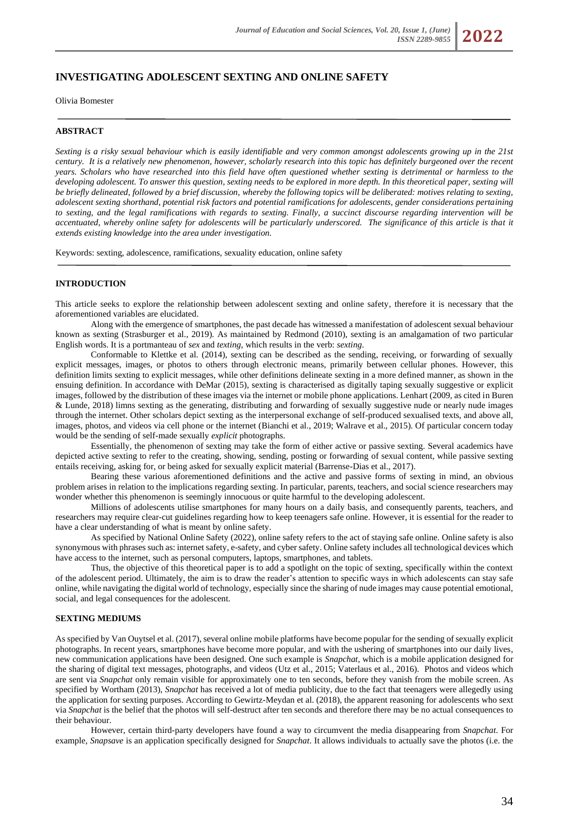# **INVESTIGATING ADOLESCENT SEXTING AND ONLINE SAFETY**

Olivia Bomester

#### **ABSTRACT**

*Sexting is a risky sexual behaviour which is easily identifiable and very common amongst adolescents growing up in the 21st century. It is a relatively new phenomenon, however, scholarly research into this topic has definitely burgeoned over the recent years. Scholars who have researched into this field have often questioned whether sexting is detrimental or harmless to the developing adolescent. To answer this question, sexting needs to be explored in more depth. In this theoretical paper, sexting will be briefly delineated, followed by a brief discussion, whereby the following topics will be deliberated: motives relating to sexting, adolescent sexting shorthand, potential risk factors and potential ramifications for adolescents, gender considerations pertaining to sexting, and the legal ramifications with regards to sexting. Finally, a succinct discourse regarding intervention will be accentuated, whereby online safety for adolescents will be particularly underscored. The significance of this article is that it extends existing knowledge into the area under investigation.*

Keywords: sexting, adolescence, ramifications, sexuality education, online safety

### **INTRODUCTION**

This article seeks to explore the relationship between adolescent sexting and online safety, therefore it is necessary that the aforementioned variables are elucidated.

Along with the emergence of smartphones, the past decade has witnessed a manifestation of adolescent sexual behaviour known as sexting (Strasburger et al., 2019). As maintained by Redmond (2010), sexting is an amalgamation of two particular English words. It is a portmanteau of *sex* and *texting*, which results in the verb: *sexting*.

Conformable to Klettke et al. (2014), sexting can be described as the sending, receiving, or forwarding of sexually explicit messages, images, or photos to others through electronic means, primarily between cellular phones. However, this definition limits sexting to explicit messages, while other definitions delineate sexting in a more defined manner, as shown in the ensuing definition. In accordance with DeMar (2015), sexting is characterised as digitally taping sexually suggestive or explicit images, followed by the distribution of these images via the internet or mobile phone applications. Lenhart (2009, as cited in Buren & Lunde, 2018) limns sexting as the generating, distributing and forwarding of sexually suggestive nude or nearly nude images through the internet. Other scholars depict sexting as the interpersonal exchange of self-produced sexualised texts, and above all, images, photos, and videos via cell phone or the internet (Bianchi et al., 2019; Walrave et al., 2015). Of particular concern today would be the sending of self-made sexually *explicit* photographs.

Essentially, the phenomenon of sexting may take the form of either active or passive sexting. Several academics have depicted active sexting to refer to the creating, showing, sending, posting or forwarding of sexual content, while passive sexting entails receiving, asking for, or being asked for sexually explicit material (Barrense-Dias et al., 2017).

Bearing these various aforementioned definitions and the active and passive forms of sexting in mind, an obvious problem arises in relation to the implications regarding sexting. In particular, parents, teachers, and social science researchers may wonder whether this phenomenon is seemingly innocuous or quite harmful to the developing adolescent.

Millions of adolescents utilise smartphones for many hours on a daily basis, and consequently parents, teachers, and researchers may require clear-cut guidelines regarding how to keep teenagers safe online. However, it is essential for the reader to have a clear understanding of what is meant by online safety.

As specified by National Online Safety (2022), online safety refers to the act of staying safe online. Online safety is also synonymous with phrases such as: internet safety, e-safety, and cyber safety. Online safety includes all technological devices which have access to the internet, such as personal computers, laptops, smartphones, and tablets.

Thus, the objective of this theoretical paper is to add a spotlight on the topic of sexting, specifically within the context of the adolescent period. Ultimately, the aim is to draw the reader's attention to specific ways in which adolescents can stay safe online, while navigating the digital world of technology, especially since the sharing of nude images may cause potential emotional, social, and legal consequences for the adolescent.

### **SEXTING MEDIUMS**

As specified by Van Ouytsel et al. (2017), several online mobile platforms have become popular for the sending of sexually explicit photographs. In recent years, smartphones have become more popular, and with the ushering of smartphones into our daily lives, new communication applications have been designed. One such example is *Snapchat*, which is a mobile application designed for the sharing of digital text messages, photographs, and videos (Utz et al., 2015; Vaterlaus et al., 2016). Photos and videos which are sent via *Snapchat* only remain visible for approximately one to ten seconds, before they vanish from the mobile screen. As specified by Wortham (2013), *Snapchat* has received a lot of media publicity, due to the fact that teenagers were allegedly using the application for sexting purposes. According to Gewirtz-Meydan et al. (2018), the apparent reasoning for adolescents who sext via *Snapchat* is the belief that the photos will self-destruct after ten seconds and therefore there may be no actual consequences to their behaviour.

However, certain third-party developers have found a way to circumvent the media disappearing from *Snapchat*. For example, *Snapsave* is an application specifically designed for *Snapchat*. It allows individuals to actually save the photos (i.e. the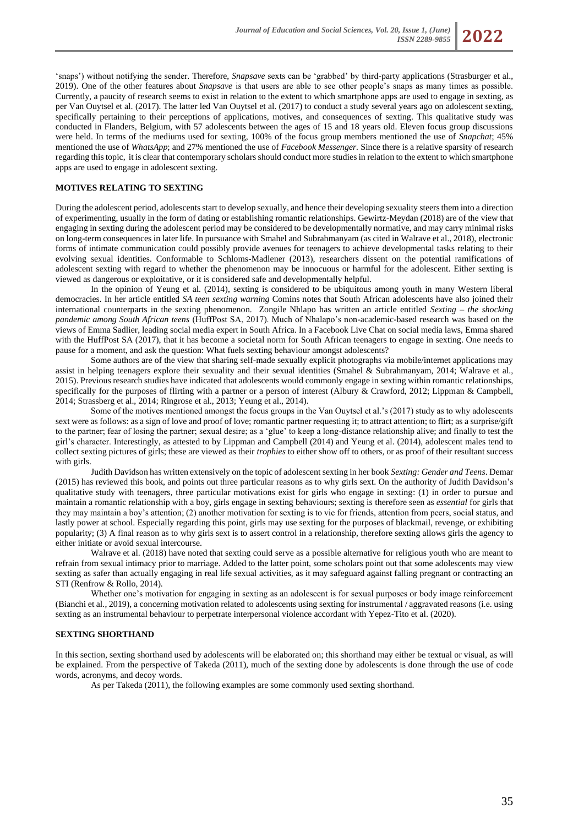

'snaps') without notifying the sender. Therefore, *Snapsave* sexts can be 'grabbed' by third-party applications (Strasburger et al., 2019). One of the other features about *Snapsave* is that users are able to see other people's snaps as many times as possible. Currently, a paucity of research seems to exist in relation to the extent to which smartphone apps are used to engage in sexting, as per Van Ouytsel et al. (2017). The latter led Van Ouytsel et al. (2017) to conduct a study several years ago on adolescent sexting, specifically pertaining to their perceptions of applications, motives, and consequences of sexting. This qualitative study was conducted in Flanders, Belgium, with 57 adolescents between the ages of 15 and 18 years old. Eleven focus group discussions were held. In terms of the mediums used for sexting, 100% of the focus group members mentioned the use of *Snapchat*; 45% mentioned the use of *WhatsApp*; and 27% mentioned the use of *Facebook Messenger.* Since there is a relative sparsity of research regarding this topic, it is clear that contemporary scholars should conduct more studies in relation to the extent to which smartphone apps are used to engage in adolescent sexting.

#### **MOTIVES RELATING TO SEXTING**

During the adolescent period, adolescents start to develop sexually, and hence their developing sexuality steers them into a direction of experimenting, usually in the form of dating or establishing romantic relationships. Gewirtz-Meydan (2018) are of the view that engaging in sexting during the adolescent period may be considered to be developmentally normative, and may carry minimal risks on long-term consequences in later life. In pursuance with Smahel and Subrahmanyam (as cited in Walrave et al., 2018), electronic forms of intimate communication could possibly provide avenues for teenagers to achieve developmental tasks relating to their evolving sexual identities. Conformable to Schloms-Madlener (2013), researchers dissent on the potential ramifications of adolescent sexting with regard to whether the phenomenon may be innocuous or harmful for the adolescent. Either sexting is viewed as dangerous or exploitative, or it is considered safe and developmentally helpful.

In the opinion of Yeung et al. (2014), sexting is considered to be ubiquitous among youth in many Western liberal democracies. In her article entitled *SA teen sexting warning* Comins notes that South African adolescents have also joined their international counterparts in the sexting phenomenon. Zongile Nhlapo has written an article entitled *Sexting – the shocking pandemic among South African teens* (HuffPost SA, 2017). Much of Nhalapo's non-academic-based research was based on the views of Emma Sadlier, leading social media expert in South Africa. In a Facebook Live Chat on social media laws, Emma shared with the HuffPost SA (2017), that it has become a societal norm for South African teenagers to engage in sexting. One needs to pause for a moment, and ask the question: What fuels sexting behaviour amongst adolescents?

Some authors are of the view that sharing self-made sexually explicit photographs via mobile/internet applications may assist in helping teenagers explore their sexuality and their sexual identities (Smahel & Subrahmanyam, 2014; Walrave et al., 2015). Previous research studies have indicated that adolescents would commonly engage in sexting within romantic relationships, specifically for the purposes of flirting with a partner or a person of interest (Albury & Crawford, 2012; Lippman & Campbell, 2014; Strassberg et al., 2014; Ringrose et al., 2013; Yeung et al., 2014).

Some of the motives mentioned amongst the focus groups in the Van Ouytsel et al.'s (2017) study as to why adolescents sext were as follows: as a sign of love and proof of love; romantic partner requesting it; to attract attention; to flirt; as a surprise/gift to the partner; fear of losing the partner; sexual desire; as a 'glue' to keep a long-distance relationship alive; and finally to test the girl's character. Interestingly, as attested to by Lippman and Campbell (2014) and Yeung et al. (2014), adolescent males tend to collect sexting pictures of girls; these are viewed as their *trophies* to either show off to others, or as proof of their resultant success with girls.

Judith Davidson has written extensively on the topic of adolescent sexting in her book *Sexting: Gender and Teens*. Demar (2015) has reviewed this book, and points out three particular reasons as to why girls sext. On the authority of Judith Davidson's qualitative study with teenagers, three particular motivations exist for girls who engage in sexting: (1) in order to pursue and maintain a romantic relationship with a boy, girls engage in sexting behaviours; sexting is therefore seen as *essential* for girls that they may maintain a boy's attention; (2) another motivation for sexting is to vie for friends, attention from peers, social status, and lastly power at school. Especially regarding this point, girls may use sexting for the purposes of blackmail, revenge, or exhibiting popularity; (3) A final reason as to why girls sext is to assert control in a relationship, therefore sexting allows girls the agency to either initiate or avoid sexual intercourse.

Walrave et al. (2018) have noted that sexting could serve as a possible alternative for religious youth who are meant to refrain from sexual intimacy prior to marriage. Added to the latter point, some scholars point out that some adolescents may view sexting as safer than actually engaging in real life sexual activities, as it may safeguard against falling pregnant or contracting an STI (Renfrow & Rollo, 2014).

Whether one's motivation for engaging in sexting as an adolescent is for sexual purposes or body image reinforcement (Bianchi et al., 2019), a concerning motivation related to adolescents using sexting for instrumental / aggravated reasons (i.e. using sexting as an instrumental behaviour to perpetrate interpersonal violence accordant with Yepez-Tito et al. (2020).

#### **SEXTING SHORTHAND**

In this section, sexting shorthand used by adolescents will be elaborated on; this shorthand may either be textual or visual, as will be explained. From the perspective of Takeda (2011), much of the sexting done by adolescents is done through the use of code words, acronyms, and decoy words.

As per Takeda (2011), the following examples are some commonly used sexting shorthand.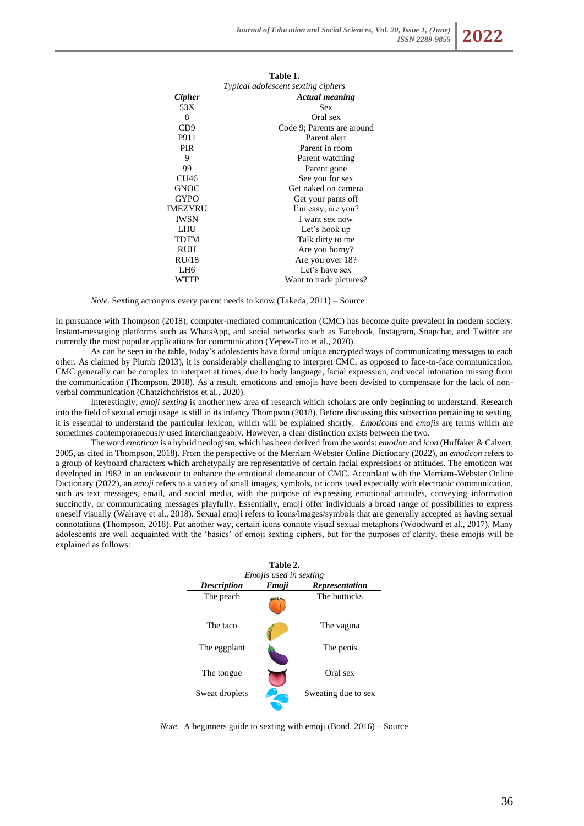| Table 1.<br>Typical adolescent sexting ciphers |                            |  |
|------------------------------------------------|----------------------------|--|
|                                                |                            |  |
| 53X                                            | <b>Sex</b>                 |  |
| 8                                              | Oral sex                   |  |
| CD <sub>9</sub>                                | Code 9; Parents are around |  |
| P911                                           | Parent alert               |  |
| <b>PIR</b>                                     | Parent in room             |  |
| 9                                              | Parent watching            |  |
| 99                                             | Parent gone                |  |
| CU46                                           | See you for sex            |  |
| <b>GNOC</b>                                    | Get naked on camera        |  |
| <b>GYPO</b>                                    | Get your pants off         |  |
| <b>IMEZYRU</b>                                 | I'm easy; are you?         |  |
| <b>IWSN</b>                                    | I want sex now             |  |
| LHU                                            | Let's hook up              |  |
| TDTM                                           | Talk dirty to me           |  |
| <b>RUH</b>                                     | Are you horny?             |  |
| RU/18                                          | Are you over 18?           |  |
| LH <sub>6</sub>                                | Let's have sex             |  |
| WTTP                                           | Want to trade pictures?    |  |

*Note.* Sexting acronyms every parent needs to know (Takeda, 2011) – Source

In pursuance with Thompson (2018), computer-mediated communication (CMC) has become quite prevalent in modern society. Instant-messaging platforms such as WhatsApp, and social networks such as Facebook, Instagram, Snapchat, and Twitter are currently the most popular applications for communication (Yepez-Tito et al., 2020).

As can be seen in the table, today's adolescents have found unique encrypted ways of communicating messages to each other. As claimed by Plumb (2013), it is considerably challenging to interpret CMC, as opposed to face-to-face communication. CMC generally can be complex to interpret at times, due to body language, facial expression, and vocal intonation missing from the communication (Thompson, 2018). As a result, emoticons and emojis have been devised to compensate for the lack of nonverbal communication (Chatzichchristos et al., 2020).

Interestingly, *emoji sexting* is another new area of research which scholars are only beginning to understand. Research into the field of sexual emoji usage is still in its infancy Thompson (2018). Before discussing this subsection pertaining to sexting, it is essential to understand the particular lexicon, which will be explained shortly. *Emoticons* and *emojis* are terms which are sometimes contemporaneously used interchangeably. However, a clear distinction exists between the two.

The word *emoticon* is a hybrid neologism, which has been derived from the words: *emotion* and *icon* (Huffaker & Calvert, 2005, as cited in Thompson, 2018). From the perspective of the Merriam-Webster Online Dictionary (2022), an *emoticon* refers to a group of keyboard characters which archetypally are representative of certain facial expressions or attitudes. The emoticon was developed in 1982 in an endeavour to enhance the emotional demeanour of CMC. Accordant with the Merriam-Webster Online Dictionary (2022), an *emoji* refers to a variety of small images, symbols, or icons used especially with electronic communication, such as text messages, email, and social media, with the purpose of expressing emotional attitudes, conveying information succinctly, or communicating messages playfully. Essentially, emoji offer individuals a broad range of possibilities to express oneself visually (Walrave et al., 2018). Sexual emoji refers to icons/images/symbols that are generally accepted as having sexual connotations (Thompson, 2018). Put another way, certain icons connote visual sexual metaphors (Woodward et al., 2017). Many adolescents are well acquainted with the 'basics' of emoji sexting ciphers, but for the purposes of clarity, these emojis will be explained as follows:



*Note.* A beginners guide to sexting with emoji (Bond, 2016) – Source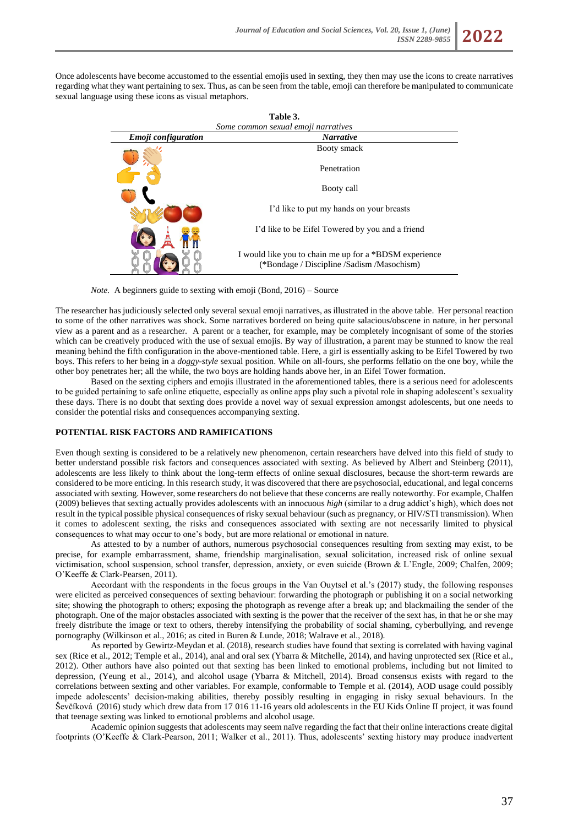

Once adolescents have become accustomed to the essential emojis used in sexting, they then may use the icons to create narratives regarding what they want pertaining to sex. Thus, as can be seen from the table, emoji can therefore be manipulated to communicate sexual language using these icons as visual metaphors.

| Table 3.                            |                                                                                                      |  |
|-------------------------------------|------------------------------------------------------------------------------------------------------|--|
| Some common sexual emoji narratives |                                                                                                      |  |
| <i><b>Emoji</b></i> configuration   | <b>Narrative</b>                                                                                     |  |
|                                     | Booty smack                                                                                          |  |
|                                     | Penetration                                                                                          |  |
|                                     | Booty call                                                                                           |  |
|                                     | I'd like to put my hands on your breasts                                                             |  |
|                                     | I'd like to be Eifel Towered by you and a friend                                                     |  |
|                                     | I would like you to chain me up for a *BDSM experience<br>(*Bondage / Discipline /Sadism /Masochism) |  |

*Note.* A beginners guide to sexting with emoji (Bond, 2016) – Source

The researcher has judiciously selected only several sexual emoji narratives, as illustrated in the above table. Her personal reaction to some of the other narratives was shock. Some narratives bordered on being quite salacious/obscene in nature, in her personal view as a parent and as a researcher. A parent or a teacher, for example, may be completely incognisant of some of the stories which can be creatively produced with the use of sexual emojis. By way of illustration, a parent may be stunned to know the real meaning behind the fifth configuration in the above-mentioned table. Here, a girl is essentially asking to be Eifel Towered by two boys. This refers to her being in a *doggy-style* sexual position. While on all-fours, she performs fellatio on the one boy, while the other boy penetrates her; all the while, the two boys are holding hands above her, in an Eifel Tower formation.

Based on the sexting ciphers and emojis illustrated in the aforementioned tables, there is a serious need for adolescents to be guided pertaining to safe online etiquette, especially as online apps play such a pivotal role in shaping adolescent's sexuality these days. There is no doubt that sexting does provide a novel way of sexual expression amongst adolescents, but one needs to consider the potential risks and consequences accompanying sexting.

### **POTENTIAL RISK FACTORS AND RAMIFICATIONS**

Even though sexting is considered to be a relatively new phenomenon, certain researchers have delved into this field of study to better understand possible risk factors and consequences associated with sexting. As believed by Albert and Steinberg (2011), adolescents are less likely to think about the long-term effects of online sexual disclosures, because the short-term rewards are considered to be more enticing. In this research study, it was discovered that there are psychosocial, educational, and legal concerns associated with sexting. However, some researchers do not believe that these concerns are really noteworthy. For example, Chalfen (2009) believes that sexting actually provides adolescents with an innocuous *high* (similar to a drug addict's high), which does not result in the typical possible physical consequences of risky sexual behaviour (such as pregnancy, or HIV/STI transmission). When it comes to adolescent sexting, the risks and consequences associated with sexting are not necessarily limited to physical consequences to what may occur to one's body, but are more relational or emotional in nature.

As attested to by a number of authors, numerous psychosocial consequences resulting from sexting may exist, to be precise, for example embarrassment, shame, friendship marginalisation, sexual solicitation, increased risk of online sexual victimisation, school suspension, school transfer, depression, anxiety, or even suicide (Brown & L'Engle, 2009; Chalfen, 2009; O'Keeffe & Clark-Pearsen, 2011).

Accordant with the respondents in the focus groups in the Van Ouytsel et al.'s (2017) study, the following responses were elicited as perceived consequences of sexting behaviour: forwarding the photograph or publishing it on a social networking site; showing the photograph to others; exposing the photograph as revenge after a break up; and blackmailing the sender of the photograph. One of the major obstacles associated with sexting is the power that the receiver of the sext has, in that he or she may freely distribute the image or text to others, thereby intensifying the probability of social shaming, cyberbullying, and revenge pornography (Wilkinson et al., 2016; as cited in Buren & Lunde, 2018; Walrave et al., 2018).

As reported by Gewirtz-Meydan et al. (2018), research studies have found that sexting is correlated with having vaginal sex (Rice et al., 2012; Temple et al., 2014), anal and oral sex (Ybarra & Mitchelle, 2014), and having unprotected sex (Rice et al., 2012). Other authors have also pointed out that sexting has been linked to emotional problems, including but not limited to depression, (Yeung et al., 2014), and alcohol usage (Ybarra & Mitchell, 2014). Broad consensus exists with regard to the correlations between sexting and other variables. For example, conformable to Temple et al. (2014), AOD usage could possibly impede adolescents' decision-making abilities, thereby possibly resulting in engaging in risky sexual behaviours. In the Ševčíková (2016) study which drew data from 17 016 11-16 years old adolescents in the EU Kids Online II project, it was found that teenage sexting was linked to emotional problems and alcohol usage.

Academic opinion suggests that adolescents may seem naïve regarding the fact that their online interactions create digital footprints (O'Keeffe & Clark-Pearson, 2011; Walker et al., 2011). Thus, adolescents' sexting history may produce inadvertent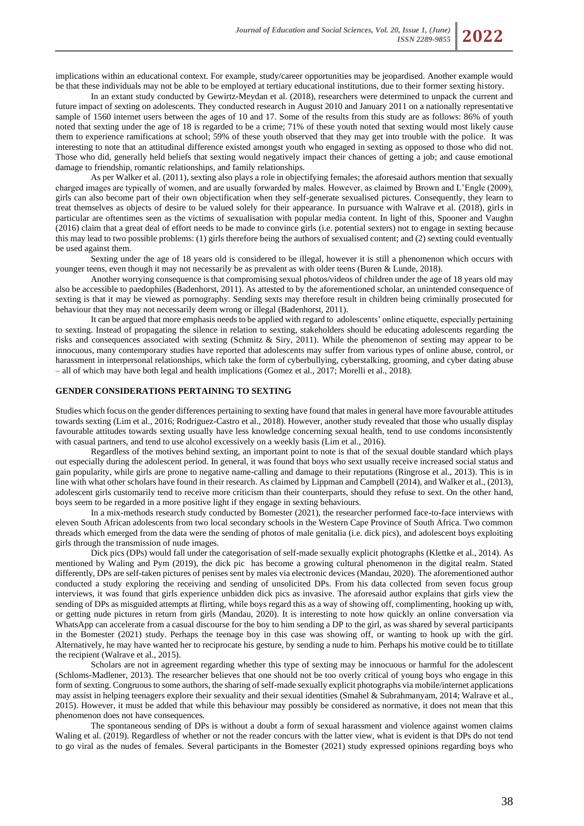implications within an educational context. For example, study/career opportunities may be jeopardised. Another example would be that these individuals may not be able to be employed at tertiary educational institutions, due to their former sexting history.

In an extant study conducted by Gewirtz-Meydan et al. (2018), researchers were determined to unpack the current and future impact of sexting on adolescents. They conducted research in August 2010 and January 2011 on a nationally representative sample of 1560 internet users between the ages of 10 and 17. Some of the results from this study are as follows: 86% of youth noted that sexting under the age of 18 is regarded to be a crime; 71% of these youth noted that sexting would most likely cause them to experience ramifications at school; 59% of these youth observed that they may get into trouble with the police. It was interesting to note that an attitudinal difference existed amongst youth who engaged in sexting as opposed to those who did not. Those who did, generally held beliefs that sexting would negatively impact their chances of getting a job; and cause emotional damage to friendship, romantic relationships, and family relationships.

As per Walker et al. (2011), sexting also plays a role in objectifying females; the aforesaid authors mention that sexually charged images are typically of women, and are usually forwarded by males. However, as claimed by Brown and L'Engle (2009), girls can also become part of their own objectification when they self-generate sexualised pictures. Consequently, they learn to treat themselves as objects of desire to be valued solely for their appearance. In pursuance with Walrave et al. (2018), girls in particular are oftentimes seen as the victims of sexualisation with popular media content. In light of this, Spooner and Vaughn (2016) claim that a great deal of effort needs to be made to convince girls (i.e. potential sexters) not to engage in sexting because this may lead to two possible problems: (1) girls therefore being the authors of sexualised content; and (2) sexting could eventually be used against them.

Sexting under the age of 18 years old is considered to be illegal, however it is still a phenomenon which occurs with younger teens, even though it may not necessarily be as prevalent as with older teens (Buren & Lunde, 2018).

Another worrying consequence is that compromising sexual photos/videos of children under the age of 18 years old may also be accessible to paedophiles (Badenhorst, 2011). As attested to by the aforementioned scholar, an unintended consequence of sexting is that it may be viewed as pornography. Sending sexts may therefore result in children being criminally prosecuted for behaviour that they may not necessarily deem wrong or illegal (Badenhorst, 2011).

It can be argued that more emphasis needs to be applied with regard to adolescents' online etiquette, especially pertaining to sexting. Instead of propagating the silence in relation to sexting, stakeholders should be educating adolescents regarding the risks and consequences associated with sexting (Schmitz & Siry, 2011). While the phenomenon of sexting may appear to be innocuous, many contemporary studies have reported that adolescents may suffer from various types of online abuse, control, or harassment in interpersonal relationships, which take the form of cyberbullying, cyberstalking, grooming, and cyber dating abuse – all of which may have both legal and health implications (Gomez et al., 2017; Morelli et al., 2018).

### **GENDER CONSIDERATIONS PERTAINING TO SEXTING**

Studies which focus on the gender differences pertaining to sexting have found that males in general have more favourable attitudes towards sexting (Lim et al., 2016; Rodriguez-Castro et al., 2018). However, another study revealed that those who usually display favourable attitudes towards sexting usually have less knowledge concerning sexual health, tend to use condoms inconsistently with casual partners, and tend to use alcohol excessively on a weekly basis (Lim et al., 2016).

Regardless of the motives behind sexting, an important point to note is that of the sexual double standard which plays out especially during the adolescent period. In general, it was found that boys who sext usually receive increased social status and gain popularity, while girls are prone to negative name-calling and damage to their reputations (Ringrose et al., 2013). This is in line with what other scholars have found in their research. As claimed by Lippman and Campbell (2014), and Walker et al., (2013), adolescent girls customarily tend to receive more criticism than their counterparts, should they refuse to sext. On the other hand, boys seem to be regarded in a more positive light if they engage in sexting behaviours.

In a mix-methods research study conducted by Bomester (2021), the researcher performed face-to-face interviews with eleven South African adolescents from two local secondary schools in the Western Cape Province of South Africa. Two common threads which emerged from the data were the sending of photos of male genitalia (i.e. dick pics), and adolescent boys exploiting girls through the transmission of nude images.

Dick pics (DPs) would fall under the categorisation of self-made sexually explicit photographs (Klettke et al., 2014). As mentioned by Waling and Pym (2019), the dick pic has become a growing cultural phenomenon in the digital realm. Stated differently, DPs are self-taken pictures of penises sent by males via electronic devices (Mandau, 2020). The aforementioned author conducted a study exploring the receiving and sending of unsolicited DPs. From his data collected from seven focus group interviews, it was found that girls experience unbidden dick pics as invasive. The aforesaid author explains that girls view the sending of DPs as misguided attempts at flirting, while boys regard this as a way of showing off, complimenting, hooking up with, or getting nude pictures in return from girls (Mandau, 2020). It is interesting to note how quickly an online conversation via WhatsApp can accelerate from a casual discourse for the boy to him sending a DP to the girl, as was shared by several participants in the Bomester (2021) study. Perhaps the teenage boy in this case was showing off, or wanting to hook up with the girl. Alternatively, he may have wanted her to reciprocate his gesture, by sending a nude to him. Perhaps his motive could be to titillate the recipient (Walrave et al., 2015).

Scholars are not in agreement regarding whether this type of sexting may be innocuous or harmful for the adolescent (Schloms-Madlener, 2013). The researcher believes that one should not be too overly critical of young boys who engage in this form of sexting. Congruous to some authors, the sharing of self-made sexually explicit photographs via mobile/internet applications may assist in helping teenagers explore their sexuality and their sexual identities (Smahel & Subrahmanyam, 2014; Walrave et al., 2015). However, it must be added that while this behaviour may possibly be considered as normative, it does not mean that this phenomenon does not have consequences.

The spontaneous sending of DPs is without a doubt a form of sexual harassment and violence against women claims Waling et al. (2019). Regardless of whether or not the reader concurs with the latter view, what is evident is that DPs do not tend to go viral as the nudes of females. Several participants in the Bomester (2021) study expressed opinions regarding boys who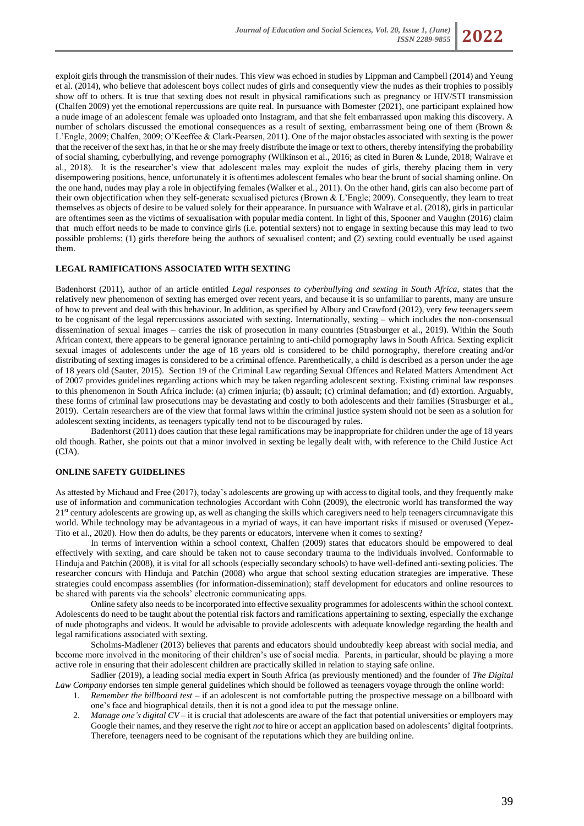

exploit girls through the transmission of their nudes. This view was echoed in studies by Lippman and Campbell (2014) and Yeung et al. (2014), who believe that adolescent boys collect nudes of girls and consequently view the nudes as their trophies to possibly show off to others. It is true that sexting does not result in physical ramifications such as pregnancy or HIV/STI transmission (Chalfen 2009) yet the emotional repercussions are quite real. In pursuance with Bomester (2021), one participant explained how a nude image of an adolescent female was uploaded onto Instagram, and that she felt embarrassed upon making this discovery. A number of scholars discussed the emotional consequences as a result of sexting, embarrassment being one of them (Brown & L'Engle, 2009; Chalfen, 2009; O'Keeffee & Clark-Pearsen, 2011). One of the major obstacles associated with sexting is the power that the receiver of the sext has, in that he or she may freely distribute the image or text to others, thereby intensifying the probability of social shaming, cyberbullying, and revenge pornography (Wilkinson et al., 2016; as cited in Buren & Lunde, 2018; Walrave et al., 2018). It is the researcher's view that adolescent males may exploit the nudes of girls, thereby placing them in very disempowering positions, hence, unfortunately it is oftentimes adolescent females who bear the brunt of social shaming online. On the one hand, nudes may play a role in objectifying females (Walker et al., 2011). On the other hand, girls can also become part of their own objectification when they self-generate sexualised pictures (Brown & L'Engle; 2009). Consequently, they learn to treat themselves as objects of desire to be valued solely for their appearance. In pursuance with Walrave et al. (2018), girls in particular are oftentimes seen as the victims of sexualisation with popular media content. In light of this, Spooner and Vaughn (2016) claim that much effort needs to be made to convince girls (i.e. potential sexters) not to engage in sexting because this may lead to two possible problems: (1) girls therefore being the authors of sexualised content; and (2) sexting could eventually be used against them.

### **LEGAL RAMIFICATIONS ASSOCIATED WITH SEXTING**

Badenhorst (2011), author of an article entitled *Legal responses to cyberbullying and sexting in South Africa*, states that the relatively new phenomenon of sexting has emerged over recent years, and because it is so unfamiliar to parents, many are unsure of how to prevent and deal with this behaviour. In addition, as specified by Albury and Crawford (2012), very few teenagers seem to be cognisant of the legal repercussions associated with sexting. Internationally, sexting – which includes the non-consensual dissemination of sexual images – carries the risk of prosecution in many countries (Strasburger et al., 2019). Within the South African context, there appears to be general ignorance pertaining to anti-child pornography laws in South Africa. Sexting explicit sexual images of adolescents under the age of 18 years old is considered to be child pornography, therefore creating and/or distributing of sexting images is considered to be a criminal offence. Parenthetically, a child is described as a person under the age of 18 years old (Sauter, 2015). Section 19 of the Criminal Law regarding Sexual Offences and Related Matters Amendment Act of 2007 provides guidelines regarding actions which may be taken regarding adolescent sexting. Existing criminal law responses to this phenomenon in South Africa include: (a) crimen injuria; (b) assault; (c) criminal defamation; and (d) extortion. Arguably, these forms of criminal law prosecutions may be devastating and costly to both adolescents and their families (Strasburger et al., 2019). Certain researchers are of the view that formal laws within the criminal justice system should not be seen as a solution for adolescent sexting incidents, as teenagers typically tend not to be discouraged by rules.

Badenhorst (2011) does caution that these legal ramifications may be inappropriate for children under the age of 18 years old though. Rather, she points out that a minor involved in sexting be legally dealt with, with reference to the Child Justice Act (CJA).

### **ONLINE SAFETY GUIDELINES**

As attested by Michaud and Free (2017), today's adolescents are growing up with access to digital tools, and they frequently make use of information and communication technologies Accordant with Cohn (2009), the electronic world has transformed the way 21<sup>st</sup> century adolescents are growing up, as well as changing the skills which caregivers need to help teenagers circumnavigate this world. While technology may be advantageous in a myriad of ways, it can have important risks if misused or overused (Yepez-Tito et al., 2020). How then do adults, be they parents or educators, intervene when it comes to sexting?

In terms of intervention within a school context, Chalfen (2009) states that educators should be empowered to deal effectively with sexting, and care should be taken not to cause secondary trauma to the individuals involved. Conformable to Hinduja and Patchin (2008), it is vital for all schools (especially secondary schools) to have well-defined anti-sexting policies. The researcher concurs with Hinduja and Patchin (2008) who argue that school sexting education strategies are imperative. These strategies could encompass assemblies (for information-dissemination); staff development for educators and online resources to be shared with parents via the schools' electronic communicating apps.

Online safety also needs to be incorporated into effective sexuality programmes for adolescents within the school context. Adolescents do need to be taught about the potential risk factors and ramifications appertaining to sexting, especially the exchange of nude photographs and videos. It would be advisable to provide adolescents with adequate knowledge regarding the health and legal ramifications associated with sexting.

Scholms-Madlener (2013) believes that parents and educators should undoubtedly keep abreast with social media, and become more involved in the monitoring of their children's use of social media. Parents, in particular, should be playing a more active role in ensuring that their adolescent children are practically skilled in relation to staying safe online.

Sadlier (2019), a leading social media expert in South Africa (as previously mentioned) and the founder of *The Digital Law Company* endorses ten simple general guidelines which should be followed as teenagers voyage through the online world:

- 1. *Remember the billboard test* if an adolescent is not comfortable putting the prospective message on a billboard with one's face and biographical details, then it is not a good idea to put the message online.
- *Manage one's digital CV* it is crucial that adolescents are aware of the fact that potential universities or employers may Google their names, and they reserve the right *not* to hire or accept an application based on adolescents' digital footprints. Therefore, teenagers need to be cognisant of the reputations which they are building online.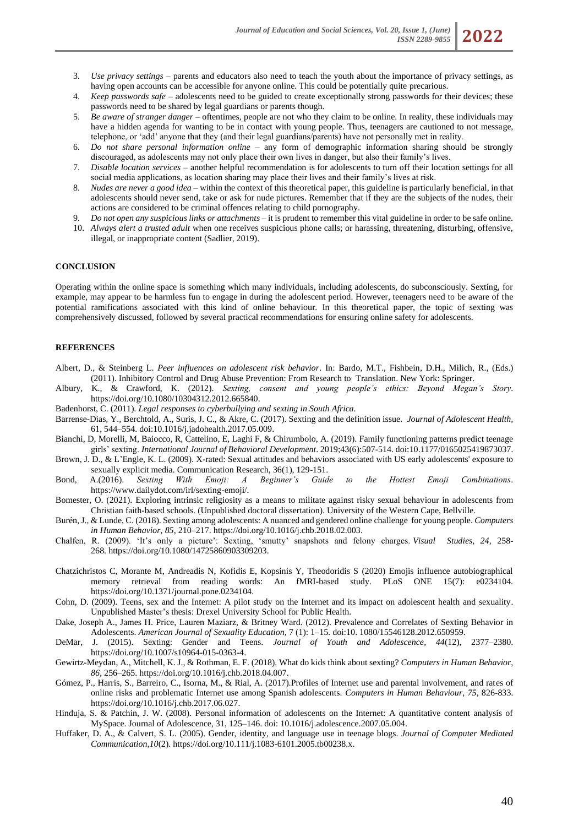- 3. *Use privacy settings* parents and educators also need to teach the youth about the importance of privacy settings, as having open accounts can be accessible for anyone online. This could be potentially quite precarious.
- 4. *Keep passwords safe* adolescents need to be guided to create exceptionally strong passwords for their devices; these passwords need to be shared by legal guardians or parents though.
- 5. *Be aware of stranger danger* oftentimes, people are not who they claim to be online. In reality, these individuals may have a hidden agenda for wanting to be in contact with young people. Thus, teenagers are cautioned to not message, telephone, or 'add' anyone that they (and their legal guardians/parents) have not personally met in reality.
- 6. *Do not share personal information online* any form of demographic information sharing should be strongly discouraged, as adolescents may not only place their own lives in danger, but also their family's lives.
- 7. *Disable location services* another helpful recommendation is for adolescents to turn off their location settings for all social media applications, as location sharing may place their lives and their family's lives at risk.
- 8. *Nudes are never a good idea* within the context of this theoretical paper, this guideline is particularly beneficial, in that adolescents should never send, take or ask for nude pictures. Remember that if they are the subjects of the nudes, their actions are considered to be criminal offences relating to child pornography.
- 9. *Do not open any suspicious links or attachments* it is prudent to remember this vital guideline in order to be safe online.
- 10. *Always alert a trusted adult* when one receives suspicious phone calls; or harassing, threatening, disturbing, offensive, illegal, or inappropriate content (Sadlier, 2019).

### **CONCLUSION**

Operating within the online space is something which many individuals, including adolescents, do subconsciously. Sexting, for example, may appear to be harmless fun to engage in during the adolescent period. However, teenagers need to be aware of the potential ramifications associated with this kind of online behaviour. In this theoretical paper, the topic of sexting was comprehensively discussed, followed by several practical recommendations for ensuring online safety for adolescents.

## **REFERENCES**

- Albert, D., & Steinberg L. *Peer influences on adolescent risk behavior*. In: Bardo, M.T., Fishbein, D.H., Milich, R., (Eds.) (2011). Inhibitory Control and Drug Abuse Prevention: From Research to Translation. New York: Springer.
- Albury, K., & Crawford, K. (2012). *Sexting, consent and young people's ethics: Beyond Megan's Story*. https://doi.org/10.1080/10304312.2012.665840.
- Badenhorst, C. (2011). *Legal responses to cyberbullying and sexting in South Africa.*
- Barrense-Dias, Y., Berchtold, A., Suris, J. C., & Akre, C. (2017). Sexting and the definition issue. *Journal of Adolescent Health*, 61, 544–554. doi:10.1016/j.jadohealth.2017.05.009.
- Bianchi, D, Morelli, M, Baiocco, R, Cattelino, E, Laghi F, & Chirumbolo, A. (2019). Family functioning patterns predict teenage girls' sexting. *International Journal of Behavioral Development*. 2019;43(6):507-514. doi[:10.1177/0165025419873037.](https://doi.org/10.1177/0165025419873037)
- Brown, J. D., & L'Engle, K. L. (2009). X-rated: Sexual attitudes and behaviors associated with US early adolescents' exposure to sexually explicit media. Communication Research, 36(1), 129-151.
- Bond, A.(2016). *Sexting With Emoji: A Beginner's Guide to the Hottest Emoji Combinations*. https://www.dailydot.com/irl/sexting-emoji/.
- Bomester, O. (2021). Exploring intrinsic religiosity as a means to militate against risky sexual behaviour in adolescents from Christian faith-based schools. (Unpublished doctoral dissertation). University of the Western Cape, Bellville.
- Burén, J., & Lunde, C. (2018). Sexting among adolescents: A nuanced and gendered online challenge for young people. *Computers in Human Behavior*, *85*, 210–217. [https://doi.org/10.1016/j.chb.2018.02.003.](https://doi.org/10.1016/j.chb.2018.02.003)
- Chalfen, R. (2009). 'It's only a picture': Sexting, 'smutty' snapshots and felony charges. *Visual Studies, 24*, 258- 268. [https://doi.org/10.1080/14725860903309203.](https://doi.org/10.1080/14725860903309203)
- Chatzichristos C, Morante M, Andreadis N, Kofidis E, Kopsinis Y, Theodoridis S (2020) Emojis influence autobiographical memory retrieval from reading words: An fMRI-based study. PLoS ONE 15(7): e0234104. https://doi.org/10.1371/journal.pone.0234104.
- Cohn, D. (2009). Teens, sex and the Internet: A pilot study on the Internet and its impact on adolescent health and sexuality. Unpublished Master's thesis: Drexel University School for Public Health.
- Dake, Joseph A., James H. Price, Lauren Maziarz, & Britney Ward. (2012). Prevalence and Correlates of Sexting Behavior in Adolescents. *American Journal of Sexuality Education*, 7 (1): 1–15. doi:10. 1080/15546128.2012.650959.
- DeMar, J. (2015). Sexting: Gender and Teens. *Journal of Youth and Adolescence*, *44*(12), 2377–2380. https://doi.org/10.1007/s10964-015-0363-4.
- Gewirtz-Meydan, A., Mitchell, K. J., & Rothman, E. F. (2018). What do kids think about sexting? *Computers in Human Behavior*, *86*, 256–265[. https://doi.org/10.1016/j.chb.2018.04.007.](https://doi.org/10.1016/j.chb.2018.04.007)
- Gómez, P., Harris, S., Barreiro, C., Isorna, M., & Rial, A. (2017).Profiles of Internet use and parental involvement, and rates of online risks and problematic Internet use among Spanish adolescents. *Computers in Human Behaviour*, *75*, 826-833. https://doi.org/10.1016/j.chb.2017.06.027.
- Hinduja, S. & Patchin, J. W. (2008). Personal information of adolescents on the Internet: A quantitative content analysis of MySpace. Journal of Adolescence, 31, 125–146. doi: 10.1016/j.adolescence.2007.05.004.
- Huffaker, D. A., & Calvert, S. L. (2005). Gender, identity, and language use in teenage blogs. *Journal of Computer Mediated Communication*,*10*(2). https://doi.org/10.111/j.1083-6101.2005.tb00238.x.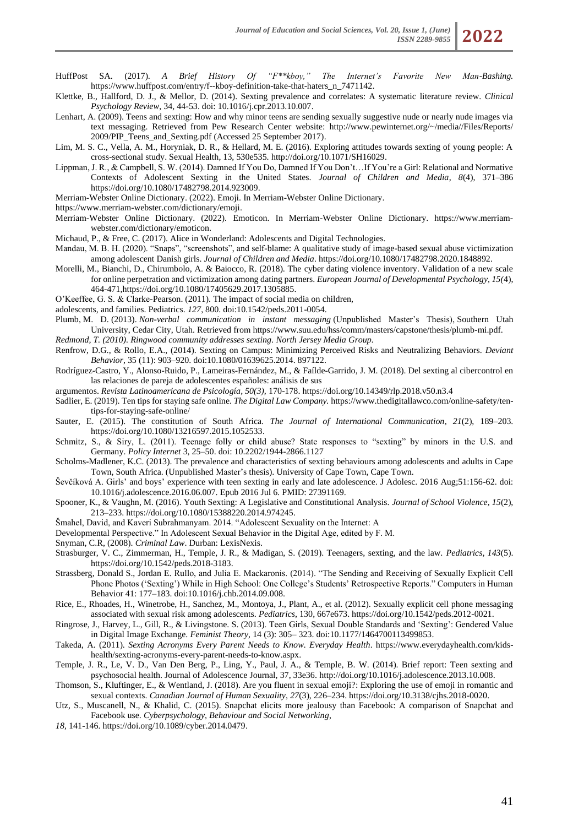HuffPost SA. (2017). *A Brief History Of "F\*\*kboy," The Internet's Favorite New Man-Bashing.*  https://www.huffpost.com/entry/f--kboy-definition-take-that-haters\_n\_7471142.

- Klettke, B., Hallford, D. J., & Mellor, D. (2014). Sexting prevalence and correlates: A systematic literature review. *Clinical Psychology Review*, 34, 44-53. doi: 10.1016/j.cpr.2013.10.007.
- Lenhart, A. (2009). Teens and sexting: How and why minor teens are sending sexually suggestive nude or nearly nude images via text messaging. Retrieved from Pew Research Center website: http://www.pewinternet.org/~/media//Files/Reports/ 2009/PIP\_Teens\_and\_Sexting.pdf (Accessed 25 September 2017).
- Lim, M. S. C., Vella, A. M., Horyniak, D. R., & Hellard, M. E. (2016). Exploring attitudes towards sexting of young people: A cross-sectional study. Sexual Health, 13, 530e535[. http://doi.org/10.1071/SH16029.](http://doi.org/10.1071/SH16029)
- Lippman, J. R., & Campbell, S. W. (2014). Damned If You Do, Damned If You Don't…If You're a Girl: Relational and Normative Contexts of Adolescent Sexting in the United States. *Journal of Children and Media*, *8*(4), 371–386 [https://doi.org/10.1080/17482798.2014.923009.](https://doi.org/10.1080/17482798.2014.923009)
- Merriam-Webster Online Dictionary. (2022). Emoji. In Merriam-Webster Online Dictionary.
- https://www.merriam-webster.com/dictionary/emoji.
- Merriam-Webster Online Dictionary. (2022). Emoticon. In Merriam-Webster Online Dictionary. https://www.merriamwebster.com/dictionary/emoticon.
- Michaud, P., & Free, C. (2017). Alice in Wonderland: Adolescents and Digital Technologies.
- Mandau, M. B. H. (2020). "Snaps", "screenshots", and self-blame: A qualitative study of image-based sexual abuse victimization among adolescent Danish girls. *Journal of Children and Media*. [https://doi.org/10.1080/17482798.2020.1848892.](https://doi.org/10.1080/17482798.2020.1848892)
- Morelli, M., Bianchi, D., Chirumbolo, A. & Baiocco, R. (2018). The cyber dating violence inventory. Validation of a new scale for online perpetration and victimization among dating partners. *European Journal of Developmental Psychology, 15(*4), 464-471,https://doi.org/10.1080/17405629.2017.1305885.
- O'Keeffee, G. S. & Clarke-Pearson. (2011). The impact of social media on children,
- adolescents, and families. Pediatrics. *127*, 800. doi:10.1542/peds.2011-0054.
- Plumb, M. D. (2013). *Non-verbal communication in instant messaging* (Unpublished Master's Thesis), Southern Utah University, Cedar City, Utah. Retrieved from [https://www.suu.edu/hss/comm/masters/capstone/thesis/plumb-mi.pdf.](https://www.suu.edu/hss/comm/masters/capstone/thesis/plumb-mi.pdf) *Redmond, T. (2010). Ringwood community addresses sexting. North Jersey Media Group.*
- Renfrow, D.G., & Rollo, E.A., (2014). Sexting on Campus: Minimizing Perceived Risks and Neutralizing Behaviors. *Deviant Behavior*, 35 (11): 903–920. doi:10.1080/01639625.2014. 897122.
- Rodríguez-Castro, Y., Alonso-Ruido, P., Lameiras-Fernández, M., & Faílde-Garrido, J. M. (2018). Del sexting al cibercontrol en las relaciones de pareja de adolescentes españoles: análisis de sus
- argumentos. *Revista Latinoamericana de Psicología, 50(3),* 170-178[. https://doi.org/10.14349/rlp.2018.v50.n3.4](https://doi.org/10.14349/rlp.2018.v50.n3.4)
- Sadlier, E. (2019). Ten tips for staying safe online. *The Digital Law Company.* https://www.thedigitallawco.com/online-safety/tentips-for-staying-safe-online/
- Sauter, E. (2015). The constitution of South Africa. *The Journal of International Communication*, *21*(2), 189–203. https://doi.org/10.1080/13216597.2015.1052533.
- Schmitz, S., & Siry, L. (2011). Teenage folly or child abuse? State responses to "sexting" by minors in the U.S. and Germany. *Policy Internet* 3, 25–50. doi: 10.2202/1944-2866.1127
- Scholms-Madlener, K.C. (2013). The prevalence and characteristics of sexting behaviours among adolescents and adults in Cape Town, South Africa. (Unpublished Master's thesis). University of Cape Town, Cape Town.
- Ševčíková A. Girls' and boys' experience with teen sexting in early and late adolescence. J Adolesc. 2016 Aug;51:156-62. doi: 10.1016/j.adolescence.2016.06.007. Epub 2016 Jul 6. PMID: 27391169.
- Spooner, K., & Vaughn, M. (2016). Youth Sexting: A Legislative and Constitutional Analysis. *Journal of School Violence*, *15*(2), 213–233[. https://doi.org/10.1080/15388220.2014.974245.](https://doi.org/10.1080/15388220.2014.974245)
- Šmahel, David, and Kaveri Subrahmanyam. 2014. "Adolescent Sexuality on the Internet: A
- Developmental Perspective." In Adolescent Sexual Behavior in the Digital Age, edited by F. M.
- Snyman, C.R, (2008). *Criminal Law*. Durban: LexisNexis.
- Strasburger, V. C., Zimmerman, H., Temple, J. R., & Madigan, S. (2019). Teenagers, sexting, and the law. *Pediatrics*, *143*(5). [https://doi.org/10.1542/peds.2018-3183.](https://doi.org/10.1542/peds.2018-3183)
- Strassberg, Donald S., Jordan E. Rullo, and Julia E. Mackaronis. (2014). "The Sending and Receiving of Sexually Explicit Cell Phone Photos ('Sexting') While in High School: One College's Students' Retrospective Reports." Computers in Human Behavior 41: 177–183. doi:10.1016/j.chb.2014.09.008.
- Rice, E., Rhoades, H., Winetrobe, H., Sanchez, M., Montoya, J., Plant, A., et al. (2012). Sexually explicit cell phone messaging associated with sexual risk among adolescents. *Pediatrics*, 130, 667e673. https://doi.org/10.1542/peds.2012-0021.
- Ringrose, J., Harvey, L., Gill, R., & Livingstone. S. (2013). Teen Girls, Sexual Double Standards and 'Sexting': Gendered Value in Digital Image Exchange. *Feminist Theory*, 14 (3): 305– 323. doi:10.1177/1464700113499853.
- Takeda, A. (2011). *Sexting Acronyms Every Parent Needs to Know. Everyday Health*. https://www.everydayhealth.com/kidshealth/sexting-acronyms-every-parent-needs-to-know.aspx.
- Temple, J. R., Le, V. D., Van Den Berg, P., Ling, Y., Paul, J. A., & Temple, B. W. (2014). Brief report: Teen sexting and psychosocial health. Journal of Adolescence Journal, 37, 33e36[. http://doi.org/10.1016/j.adolescence.2013.10.008.](http://doi.org/10.1016/j.adolescence.2013.10.008)
- Thomson, S., Kluftinger, E., & Wentland, J. (2018). Are you fluent in sexual emoji?: Exploring the use of emoji in romantic and sexual contexts. *Canadian Journal of Human Sexuality*, *27*(3), 226–234. https://doi.org/10.3138/cjhs.2018-0020.
- Utz, S., Muscanell, N., & Khalid, C. (2015). Snapchat elicits more jealousy than Facebook: A comparison of Snapchat and Facebook use. *Cyberpsychology, Behaviour and Social Networking*,
- *18,* 141-146. https://doi.org/10.1089/cyber.2014.0479.